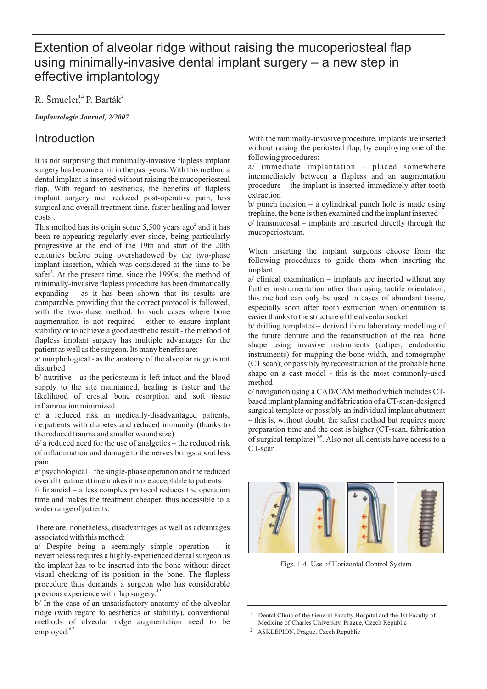# Extention of alveolar ridge without raising the mucoperiosteal flap using minimally-invasive dental implant surgery – a new step in effective implantology

R. Šmucler<sup>1,2</sup> P. Barták<sup>2</sup>

*Implantologie Journal, 2/2007*

### Introduction

It is not surprising that minimally-invasive flapless implant surgery has become a hit in the past years. With this method a dental implant is inserted without raising the mucoperiosteal flap. With regard to aesthetics, the benefits of flapless implant surgery are: reduced post-operative pain, less surgical and overall treatment time, faster healing and lower  $costs^1$ .

This method has its origin some  $5{,}500$  years ago<sup>2</sup> and it has been re-appearing regularly ever since, being particularly progressive at the end of the 19th and start of the 20th centuries before being overshadowed by the two-phase implant insertion, which was considered at the time to be safer<sup>3</sup>. At the present time, since the 1990s, the method of minimally-invasive flapless procedure has been dramatically expanding - as it has been shown that its results are comparable, providing that the correct protocol is followed, with the two-phase method. In such cases where bone augmentation is not required - either to ensure implant stability or to achieve a good aesthetic result - the method of flapless implant surgery has multiple advantages for the patient as well as the surgeon. Its many benefits are:

a/ morphological - as the anatomy of the alveolar ridge is not disturbed

b/ nutritive - as the periosteum is left intact and the blood supply to the site maintained, healing is faster and the likelihood of crestal bone resorption and soft tissue inflammation minimized

c/ a reduced risk in medically-disadvantaged patients, i.e.patients with diabetes and reduced immunity (thanks to the reduced trauma and smaller wound size)

d/ a reduced need for the use of analgetics – the reduced risk of inflammation and damage to the nerves brings about less pain

e/ psychological – the single-phase operation and the reduced overall treatment time makes it more acceptable to patients

f/ financial – a less complex protocol reduces the operation time and makes the treatment cheaper, thus accessible to a wider range of patients.

There are, nonetheless, disadvantages as well as advantages associated with this method:

a/ Despite being a seemingly simple operation – it nevertheless requires a highly-experienced dental surgeon as the implant has to be inserted into the bone without direct visual checking of its position in the bone. The flapless procedure thus demands a surgeon who has considerable previous experience with flap surgery.<sup>4,5</sup>

b/ In the case of an unsatisfactory anatomy of the alveolar ridge (with regard to aesthetics or stability), conventional methods of alveolar ridge augmentation need to be employed.<sup>6,7</sup>

With the minimally-invasive procedure, implants are inserted without raising the periosteal flap, by employing one of the following procedures:

a/ immediate implantation – placed somewhere intermediately between a flapless and an augmentation procedure – the implant is inserted immediately after tooth extraction

 $b$  punch incision – a cylindrical punch hole is made using trephine, the bone is then examined and the implant inserted

c/ transmucosal – implants are inserted directly through the mucoperiosteum.

When inserting the implant surgeons choose from the following procedures to guide them when inserting the implant.

a/ clinical examination – implants are inserted without any further instrumentation other than using tactile orientation; this method can only be used in cases of abundant tissue, especially soon after tooth extraction when orientation is easier thanks to the structure of the alveolar socket

b/ drilling templates – derived from laboratory modelling of the future denture and the reconstruction of the real bone shape using invasive instruments (caliper, endodontic instruments) for mapping the bone width, and tomography (CT scan); or possibly by reconstruction of the probable bone shape on a cast model - this is the most commonly-used method

c/ navigation using a CAD/CAM method which includes CTbased implant planning and fabrication of a CT-scan-designed surgical template or possibly an individual implant abutment – this is, without doubt, the safest method but requires more preparation time and the cost is higher (CT-scan, fabrication of surgical template)<sup>8,9</sup>. Also not all dentists have access to a CT-scan.



Figs. 1-4: Use of Horizontal Control System

<sup>1</sup> Dental Clinic of the General Faculty Hospital and the 1st Faculty of Medicine of Charles University, Prague, Czech Republic

<sup>2</sup> ASKLEPION, Prague, Czech Republic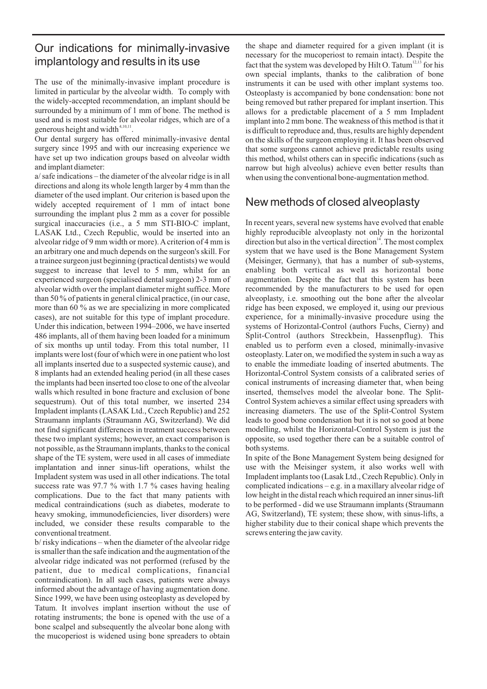# Our indications for minimally-invasive implantology and results in its use

The use of the minimally-invasive implant procedure is limited in particular by the alveolar width. To comply with the widely-accepted recommendation, an implant should be surrounded by a minimum of 1 mm of bone. The method is used and is most suitable for alveolar ridges, which are of a generous height and width<sup>4,10,11</sup>.

Our dental surgery has offered minimally-invasive dental surgery since 1995 and with our increasing experience we have set up two indication groups based on alveolar width and implant diameter:

a/ safe indications – the diameter of the alveolar ridge is in all directions and along its whole length larger by 4 mm than the diameter of the used implant. Our criterion is based upon the widely accepted requirement of 1 mm of intact bone surrounding the implant plus 2 mm as a cover for possible surgical inaccuracies (i.e., a 5 mm STI-BIO-C implant, LASAK Ltd., Czech Republic, would be inserted into an alveolar ridge of 9 mm width or more). A criterion of 4 mm is an arbitrary one and much depends on the surgeon's skill. For a trainee surgeon just beginning (practical dentists) we would suggest to increase that level to 5 mm, whilst for an experienced surgeon (specialised dental surgeon) 2-3 mm of alveolar width over the implant diameter might suffice. More than 50 % of patients in general clinical practice, (in our case, more than 60 % as we are specializing in more complicated cases), are not suitable for this type of implant procedure. Under this indication, between 1994–2006, we have inserted 486 implants, all of them having been loaded for a minimum of six months up until today. From this total number, 11 implants were lost (four of which were in one patient who lost all implants inserted due to a suspected systemic cause), and 8 implants had an extended healing period (in all these cases the implants had been inserted too close to one of the alveolar walls which resulted in bone fracture and exclusion of bone sequestrum). Out of this total number, we inserted 234 Impladent implants (LASAK Ltd., Czech Republic) and 252 Straumann implants (Straumann AG, Switzerland). We did not find significant differences in treatment success between these two implant systems; however, an exact comparison is not possible, as the Straumann implants, thanks to the conical shape of the TE system, were used in all cases of immediate implantation and inner sinus-lift operations, whilst the Impladent system was used in all other indications. The total success rate was 97.7 % with 1.7 % cases having healing complications. Due to the fact that many patients with medical contraindications (such as diabetes, moderate to heavy smoking, immunodeficiencies, liver disorders) were included, we consider these results comparable to the conventional treatment.

b/ risky indications – when the diameter of the alveolar ridge is smaller than the safe indication and the augmentation of the alveolar ridge indicated was not performed (refused by the patient, due to medical complications, financial contraindication). In all such cases, patients were always informed about the advantage of having augmentation done. Since 1999, we have been using osteoplasty as developed by Tatum. It involves implant insertion without the use of rotating instruments; the bone is opened with the use of a bone scalpel and subsequently the alveolar bone along with the mucoperiost is widened using bone spreaders to obtain

the shape and diameter required for a given implant (it is necessary for the mucoperiost to remain intact). Despite the fact that the system was developed by Hilt O. Tatum<sup>12,13</sup> for his own special implants, thanks to the calibration of bone instruments it can be used with other implant systems too. Osteoplasty is accompanied by bone condensation: bone not being removed but rather prepared for implant insertion. This allows for a predictable placement of a 5 mm Impladent implant into 2 mm bone. The weakness of this method is that it is difficult to reproduce and, thus, results are highly dependent on the skills of the surgeon employing it. It has been observed that some surgeons cannot achieve predictable results using this method, whilst others can in specific indications (such as narrow but high alveolus) achieve even better results than when using the conventional bone-augmentation method.

## New methods of closed alveoplasty

In recent years, several new systems have evolved that enable highly reproducible alveoplasty not only in the horizontal direction but also in the vertical direction $14$ . The most complex system that we have used is the Bone Management System (Meisinger, Germany), that has a number of sub-systems, enabling both vertical as well as horizontal bone augmentation. Despite the fact that this system has been recommended by the manufacturers to be used for open alveoplasty, i.e. smoothing out the bone after the alveolar ridge has been exposed, we employed it, using our previous experience, for a minimally-invasive procedure using the systems of Horizontal-Control (authors Fuchs, Cierny) and Split-Control (authors Streckbein, Hassenpflug). This enabled us to perform even a closed, minimally-invasive osteoplasty. Later on, we modified the system in such a way as to enable the immediate loading of inserted abutments. The Horizontal-Control System consists of a calibrated series of conical instruments of increasing diameter that, when being inserted, themselves model the alveolar bone. The Split-Control System achieves a similar effect using spreaders with increasing diameters. The use of the Split-Control System leads to good bone condensation but it is not so good at bone modelling, whilst the Horizontal-Control System is just the opposite, so used together there can be a suitable control of both systems.

In spite of the Bone Management System being designed for use with the Meisinger system, it also works well with Impladent implants too (Lasak Ltd., Czech Republic). Only in complicated indications – e.g. in a maxillary alveolar ridge of low height in the distal reach which required an inner sinus-lift to be performed - did we use Straumann implants (Straumann AG, Switzerland), TE system; these show, with sinus-lifts, a higher stability due to their conical shape which prevents the screws entering the jaw cavity.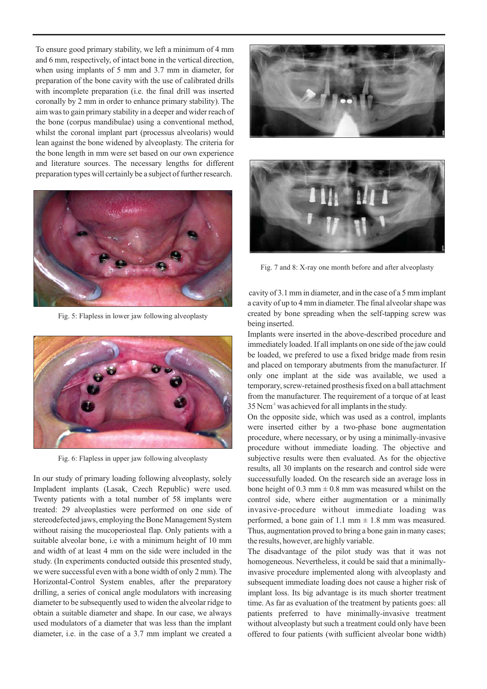To ensure good primary stability, we left a minimum of 4 mm and 6 mm, respectively, of intact bone in the vertical direction, when using implants of 5 mm and 3.7 mm in diameter, for preparation of the bone cavity with the use of calibrated drills with incomplete preparation (i.e. the final drill was inserted coronally by 2 mm in order to enhance primary stability). The aim was to gain primary stability in a deeper and wider reach of the bone (corpus mandibulae) using a conventional method, whilst the coronal implant part (processus alveolaris) would lean against the bone widened by alveoplasty. The criteria for the bone length in mm were set based on our own experience and literature sources. The necessary lengths for different preparation types will certainly be a subject of further research.



Fig. 5: Flapless in lower jaw following alveoplasty



Fig. 6: Flapless in upper jaw following alveoplasty

In our study of primary loading following alveoplasty, solely Impladent implants (Lasak, Czech Republic) were used. Twenty patients with a total number of 58 implants were treated: 29 alveoplasties were performed on one side of stereodefected jaws, employing the Bone Management System without raising the mucoperiosteal flap. Only patients with a suitable alveolar bone, i.e with a minimum height of 10 mm and width of at least 4 mm on the side were included in the study. (In experiments conducted outside this presented study, we were successful even with a bone width of only 2 mm). The Horizontal-Control System enables, after the preparatory drilling, a series of conical angle modulators with increasing diameter to be subsequently used to widen the alveolar ridge to obtain a suitable diameter and shape. In our case, we always used modulators of a diameter that was less than the implant diameter, i.e. in the case of a 3.7 mm implant we created a





Fig. 7 and 8: X-ray one month before and after alveoplasty

cavity of 3.1 mm in diameter, and in the case of a 5 mm implant a cavity of up to 4 mm in diameter. The final alveolar shape was created by bone spreading when the self-tapping screw was being inserted.

Implants were inserted in the above-described procedure and immediately loaded. If all implants on one side of the jaw could be loaded, we prefered to use a fixed bridge made from resin and placed on temporary abutments from the manufacturer. If only one implant at the side was available, we used a temporary, screw-retained prosthesis fixed on a ball attachment from the manufacturer. The requirement of a torque of at least 35 Ncm<sup>-1</sup> was achieved for all implants in the study.

On the opposite side, which was used as a control, implants were inserted either by a two-phase bone augmentation procedure, where necessary, or by using a minimally-invasive procedure without immediate loading. The objective and subjective results were then evaluated. As for the objective results, all 30 implants on the research and control side were successufully loaded. On the research side an average loss in bone height of 0.3 mm  $\pm$  0.8 mm was measured whilst on the control side, where either augmentation or a minimally invasive-procedure without immediate loading was performed, a bone gain of 1.1 mm  $\pm$  1.8 mm was measured. Thus, augmentation proved to bring a bone gain in many cases; the results, however, are highly variable.

The disadvantage of the pilot study was that it was not homogeneous. Nevertheless, it could be said that a minimallyinvasive procedure implemented along with alveoplasty and subsequent immediate loading does not cause a higher risk of implant loss. Its big advantage is its much shorter treatment time. As far as evaluation of the treatment by patients goes: all patients preferred to have minimally-invasive treatment without alveoplasty but such a treatment could only have been offered to four patients (with sufficient alveolar bone width)